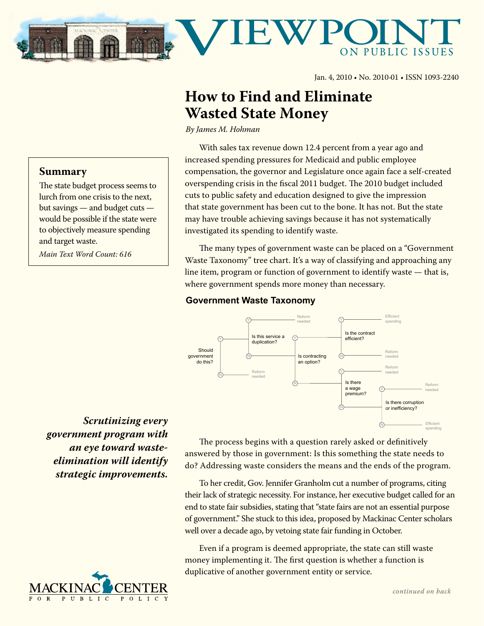

Jan. 4, 2010 • No. 2010-01 • ISSN 1093-2240

## **How to Find and Eliminate Wasted State Money**

*By James M. Hohman*

With sales tax revenue down 12.4 percent from a year ago and increased spending pressures for Medicaid and public employee compensation, the governor and Legislature once again face a self-created overspending crisis in the fiscal 2011 budget. The 2010 budget included cuts to public safety and education designed to give the impression that state government has been cut to the bone. It has not. But the state may have trouble achieving savings because it has not systematically investigated its spending to identify waste.

The many types of government waste can be placed on a "Government Waste Taxonomy" tree chart. It's a way of classifying and approaching any line item, program or function of government to identify waste — that is, where government spends more money than necessary.

## **Government Waste Taxonomy**



*Scrutinizing every government program with an eye toward wasteelimination will identify strategic improvements.*

**Summary**

and target waste.

*Main Text Word Count: 616*

The state budget process seems to lurch from one crisis to the next, but savings — and budget cuts would be possible if the state were to objectively measure spending



The process begins with a question rarely asked or definitively answered by those in government: Is this something the state needs to do? Addressing waste considers the means and the ends of the program.

To her credit, Gov. Jennifer Granholm cut a number of programs, citing their lack of strategic necessity. For instance, her executive budget called for an end to state fair subsidies, stating that "state fairs are not an essential purpose of government." She stuck to this idea, proposed by Mackinac Center scholars well over a decade ago, by vetoing state fair funding in October.

Even if a program is deemed appropriate, the state can still waste money implementing it. The first question is whether a function is duplicative of another government entity or service.